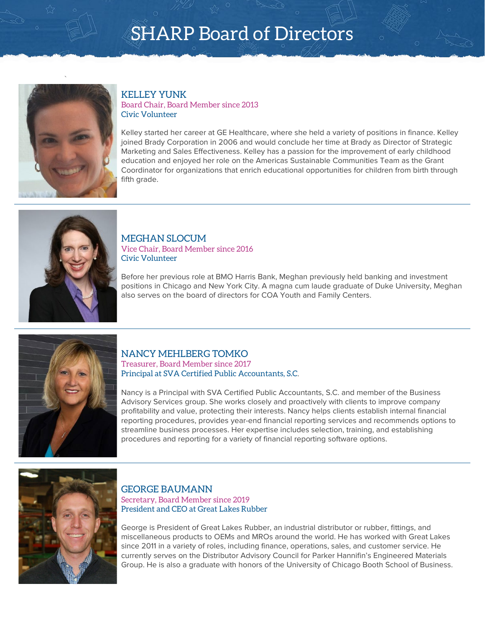

### KELLEY YUNK Board Chair, Board Member since 2013 Civic Volunteer

Kelley started her career at GE Healthcare, where she held a variety of positions in finance. Kelley joined Brady Corporation in 2006 and would conclude her time at Brady as Director of Strategic Marketing and Sales Effectiveness. Kelley has a passion for the improvement of early childhood education and enjoyed her role on the Americas Sustainable Communities Team as the Grant Coordinator for organizations that enrich educational opportunities for children from birth through fifth grade.



### MEGHAN SLOCUM Vice Chair, Board Member since 2016 Civic Volunteer

Before her previous role at BMO Harris Bank, Meghan previously held banking and investment positions in Chicago and New York City. A magna cum laude graduate of Duke University, Meghan also serves on the board of directors for COA Youth and Family Centers.



### NANCY MEHLBERG TOMKO

Treasurer, Board Member since 2017 Principal at SVA Certified Public Accountants, S.C.

Nancy is a Principal with SVA Certified Public Accountants, S.C. and member of the Business Advisory Services group. She works closely and proactively with clients to improve company profitability and value, protecting their interests. Nancy helps clients establish internal financial reporting procedures, provides year-end financial reporting services and recommends options to streamline business processes. Her expertise includes selection, training, and establishing procedures and reporting for a variety of financial reporting software options.



### GEORGE BAUMANN Secretary, Board Member since 2019 President and CEO at Great Lakes Rubber

George is President of Great Lakes Rubber, an industrial distributor or rubber, fittings, and miscellaneous products to OEMs and MROs around the world. He has worked with Great Lakes since 2011 in a variety of roles, including finance, operations, sales, and customer service. He currently serves on the Distributor Advisory Council for Parker Hannifin's Engineered Materials Group. He is also a graduate with honors of the University of Chicago Booth School of Business.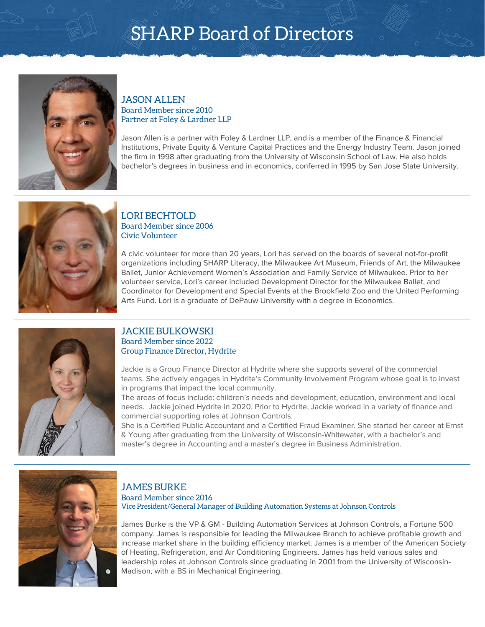

### JASON ALLEN Board Member since 2010 Partner at Foley & Lardner LLP

Jason Allen is a partner with Foley & Lardner LLP, and is a member of the Finance & Financial Institutions, Private Equity & Venture Capital Practices and the Energy Industry Team. Jason joined the firm in 1998 after graduating from the University of Wisconsin School of Law. He also holds bachelor's degrees in business and in economics, conferred in 1995 by San Jose State University.



### LORI BECHTOLD Board Member since 2006 Civic Volunteer

A civic volunteer for more than 20 years, Lori has served on the boards of several not-for-profit organizations including SHARP Literacy, the Milwaukee Art Museum, Friends of Art, the Milwaukee Ballet, Junior Achievement Women's Association and Family Service of Milwaukee. Prior to her volunteer service, Lori's career included Development Director for the Milwaukee Ballet, and Coordinator for Development and Special Events at the Brookfield Zoo and the United Performing Arts Fund. Lori is a graduate of DePauw University with a degree in Economics.



### JACKIE BULKOWSKI Board Member since 2022 Group Finance Director, Hydrite

Jackie is a Group Finance Director at Hydrite where she supports several of the commercial teams. She actively engages in Hydrite's Community Involvement Program whose goal is to invest in programs that impact the local community.

The areas of focus include: children's needs and development, education, environment and local needs. Jackie joined Hydrite in 2020. Prior to Hydrite, Jackie worked in a variety of finance and commercial supporting roles at Johnson Controls.

She is a Certified Public Accountant and a Certified Fraud Examiner. She started her career at Ernst & Young after graduating from the University of Wisconsin-Whitewater, with a bachelor's and master's degree in Accounting and a master's degree in Business Administration.



### JAMES BURKE

Board Member since 2016 Vice President/General Manager of Building Automation Systems at Johnson Controls

James Burke is the VP & GM - Building Automation Services at Johnson Controls, a Fortune 500 company. James is responsible for leading the Milwaukee Branch to achieve profitable growth and increase market share in the building efficiency market. James is a member of the American Society of Heating, Refrigeration, and Air Conditioning Engineers. James has held various sales and leadership roles at Johnson Controls since graduating in 2001 from the University of Wisconsin-Madison, with a BS in Mechanical Engineering.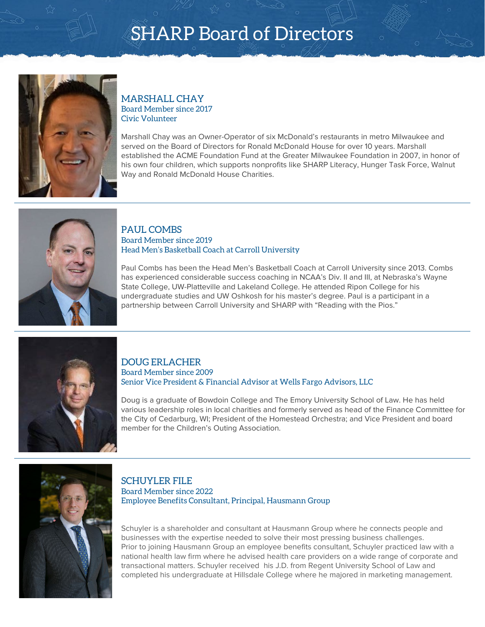

### MARSHALL CHAY Board Member since 2017 Civic Volunteer

Marshall Chay was an Owner-Operator of six McDonald's restaurants in metro Milwaukee and served on the Board of Directors for Ronald McDonald House for over 10 years. Marshall established the ACME Foundation Fund at the Greater Milwaukee Foundation in 2007, in honor of his own four children, which supports nonprofits like SHARP Literacy, Hunger Task Force, Walnut Way and Ronald McDonald House Charities.



### PAUL COMBS Board Member since 2019 Head Men's Basketball Coach at Carroll University

Paul Combs has been the Head Men's Basketball Coach at Carroll University since 2013. Combs has experienced considerable success coaching in NCAA's Div. II and III, at Nebraska's Wayne State College, UW-Platteville and Lakeland College. He attended Ripon College for his undergraduate studies and UW Oshkosh for his master's degree. Paul is a participant in a partnership between Carroll University and SHARP with "Reading with the Pios."



#### DOUG ERLACHER Board Member since 2009 Senior Vice President & Financial Advisor at Wells Fargo Advisors, LLC

Doug is a graduate of Bowdoin College and The Emory University School of Law. He has held various leadership roles in local charities and formerly served as head of the Finance Committee for the City of Cedarburg, WI; President of the Homestead Orchestra; and Vice President and board member for the Children's Outing Association.



SCHUYLER FILE Board Member since 2022 Employee Benefits Consultant, Principal, Hausmann Group

Schuyler is a shareholder and consultant at Hausmann Group where he connects people and businesses with the expertise needed to solve their most pressing business challenges. Prior to joining Hausmann Group an employee benefits consultant, Schuyler practiced law with a national health law firm where he advised health care providers on a wide range of corporate and transactional matters. Schuyler received his J.D. from Regent University School of Law and completed his undergraduate at Hillsdale College where he majored in marketing management.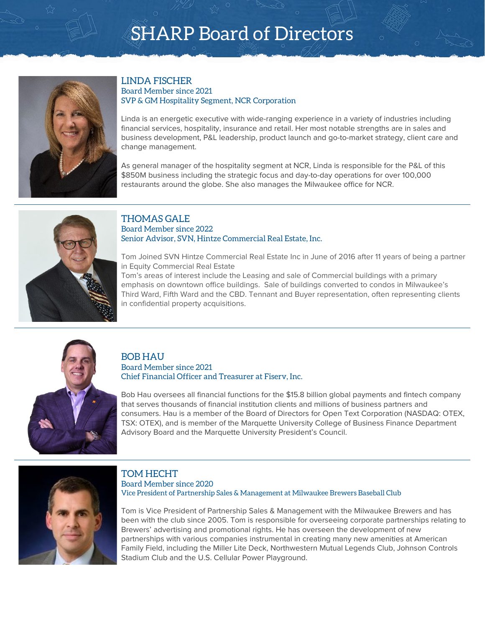

### LINDA FISCHER Board Member since 2021 SVP & GM Hospitality Segment, NCR Corporation

Linda is an energetic executive with wide-ranging experience in a variety of industries including financial services, hospitality, insurance and retail. Her most notable strengths are in sales and business development, P&L leadership, product launch and go-to-market strategy, client care and change management.

As general manager of the hospitality segment at NCR, Linda is responsible for the P&L of this \$850M business including the strategic focus and day-to-day operations for over 100,000 restaurants around the globe. She also manages the Milwaukee office for NCR.



#### THOMAS GALE Board Member since 2022 Senior Advisor, SVN, Hintze Commercial Real Estate, Inc.

Tom Joined SVN Hintze Commercial Real Estate Inc in June of 2016 after 11 years of being a partner in Equity Commercial Real Estate

Tom's areas of interest include the Leasing and sale of Commercial buildings with a primary emphasis on downtown office buildings. Sale of buildings converted to condos in Milwaukee's Third Ward, Fifth Ward and the CBD. Tennant and Buyer representation, often representing clients in confidential property acquisitions.



### BOB HAU Board Member since 2021 Chief Financial Officer and Treasurer at Fiserv, Inc.

Bob Hau oversees all financial functions for the \$15.8 billion global payments and fintech company that serves thousands of financial institution clients and millions of business partners and consumers. Hau is a member of the Board of Directors for Open Text Corporation (NASDAQ: OTEX, TSX: OTEX), and is member of the Marquette University College of Business Finance Department Advisory Board and the Marquette University President's Council.



### TOM HECHT

Board Member since 2020 Vice President of Partnership Sales & Management at Milwaukee Brewers Baseball Club

Tom is Vice President of Partnership Sales & Management with the Milwaukee Brewers and has been with the club since 2005. Tom is responsible for overseeing corporate partnerships relating to Brewers' advertising and promotional rights. He has overseen the development of new partnerships with various companies instrumental in creating many new amenities at American Family Field, including the Miller Lite Deck, Northwestern Mutual Legends Club, Johnson Controls Stadium Club and the U.S. Cellular Power Playground.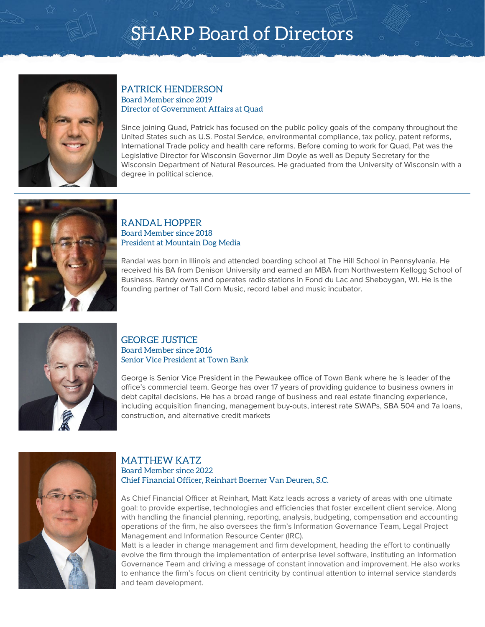

### PATRICK HENDERSON Board Member since 2019 Director of Government Affairs at Quad

Since joining Quad, Patrick has focused on the public policy goals of the company throughout the United States such as U.S. Postal Service, environmental compliance, tax policy, patent reforms, International Trade policy and health care reforms. Before coming to work for Quad, Pat was the Legislative Director for Wisconsin Governor Jim Doyle as well as Deputy Secretary for the Wisconsin Department of Natural Resources. He graduated from the University of Wisconsin with a degree in political science.



### RANDAL HOPPER Board Member since 2018 President at Mountain Dog Media

Randal was born in Illinois and attended boarding school at The Hill School in Pennsylvania. He received his BA from Denison University and earned an MBA from Northwestern Kellogg School of Business. Randy owns and operates radio stations in Fond du Lac and Sheboygan, WI. He is the founding partner of Tall Corn Music, record label and music incubator.



#### GEORGE JUSTICE Board Member since 2016 Senior Vice President at Town Bank

George is Senior Vice President in the Pewaukee office of Town Bank where he is leader of the office's commercial team. George has over 17 years of providing guidance to business owners in debt capital decisions. He has a broad range of business and real estate financing experience, including acquisition financing, management buy-outs, interest rate SWAPs, SBA 504 and 7a loans, construction, and alternative credit markets



### MATTHEW KATZ Board Member since 2022 Chief Financial Officer, Reinhart Boerner Van Deuren, S.C.

As Chief Financial Officer at Reinhart, Matt Katz leads across a variety of areas with one ultimate goal: to provide expertise, technologies and efficiencies that foster excellent client service. Along with handling the financial planning, reporting, analysis, budgeting, compensation and accounting operations of the firm, he also oversees the firm's Information Governance Team, Legal Project Management and Information Resource Center (IRC).

Matt is a leader in change management and firm development, heading the effort to continually evolve the firm through the implementation of enterprise level software, instituting an Information Governance Team and driving a message of constant innovation and improvement. He also works to enhance the firm's focus on client centricity by continual attention to internal service standards and team development.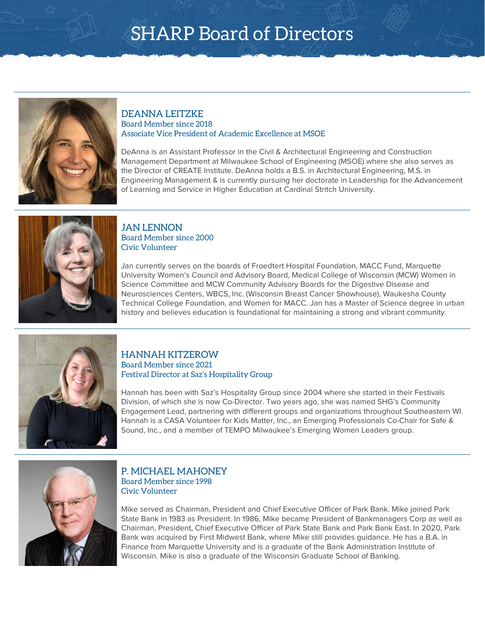

### DEANNA LEITZKE Board Member since 2018 Associate Vice President of Academic Excellence at MSOE

DeAnna is an Assistant Professor in the Civil & Architectural Engineering and Construction Management Department at Milwaukee School of Engineering (MSOE) where she also serves as the Director of CREATE Institute. DeAnna holds a B.S. in Architectural Engineering, M.S. in Engineering Management & is currently pursuing her doctorate in Leadership for the Advancement of Learning and Service in Higher Education at Cardinal Stritch University.



### JAN LENNON Board Member since 2000 Civic Volunteer

Jan currently serves on the boards of Froedtert Hospital Foundation, MACC Fund, Marquette University Women's Council and Advisory Board, Medical College of Wisconsin (MCW) Women in Science Committee and MCW Community Advisory Boards for the Digestive Disease and Neurosciences Centers, WBCS, Inc. (Wisconsin Breast Cancer Showhouse), Waukesha County Technical College Foundation, and Women for MACC. Jan has a Master of Science degree in urban history and believes education is foundational for maintaining a strong and vibrant community.



### HANNAH KITZEROW Board Member since 2021 Festival Director at Saz's Hospitality Group

Hannah has been with Saz's Hospitality Group since 2004 where she started in their Festivals Division, of which she is now Co-Director. Two years ago, she was named SHG's Community Engagement Lead, partnering with different groups and organizations throughout Southeastern WI. Hannah is a CASA Volunteer for Kids Matter, Inc., an Emerging Professionals Co-Chair for Safe & Sound, Inc., and a member of TEMPO Milwaukee's Emerging Women Leaders group.



### P. MICHAEL MAHONEY Board Member since 1998 Civic Volunteer

Mike served as Chairman, President and Chief Executive Officer of Park Bank. Mike joined Park State Bank in 1983 as President. In 1986, Mike became President of Bankmanagers Corp as well as Chairman, President, Chief Executive Officer of Park State Bank and Park Bank East. In 2020, Park Bank was acquired by First Midwest Bank, where Mike still provides guidance. He has a B.A. in Finance from Marquette University and is a graduate of the Bank Administration Institute of Wisconsin. Mike is also a graduate of the Wisconsin Graduate School of Banking.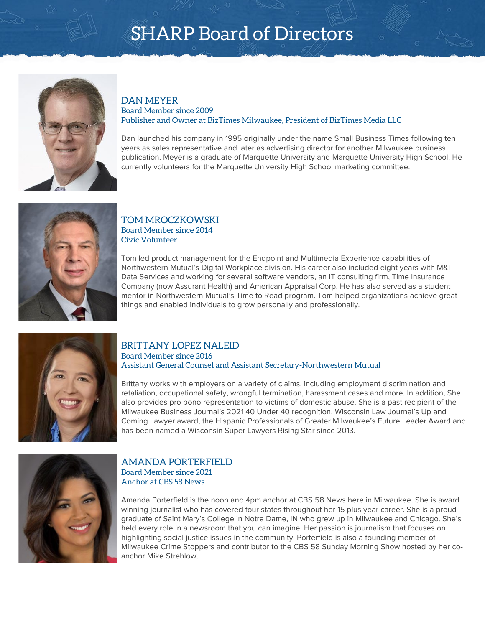

#### DAN MEYER Board Member since 2009 Publisher and Owner at BizTimes Milwaukee, President of BizTimes Media LLC

Dan launched his company in 1995 originally under the name Small Business Times following ten years as sales representative and later as advertising director for another Milwaukee business publication. Meyer is a graduate of Marquette University and Marquette University High School. He currently volunteers for the Marquette University High School marketing committee.



### TOM MROCZKOWSKI Board Member since 2014 Civic Volunteer

Tom led product management for the Endpoint and Multimedia Experience capabilities of Northwestern Mutual's Digital Workplace division. His career also included eight years with M&I Data Services and working for several software vendors, an IT consulting firm, Time Insurance Company (now Assurant Health) and American Appraisal Corp. He has also served as a student mentor in Northwestern Mutual's Time to Read program. Tom helped organizations achieve great things and enabled individuals to grow personally and professionally.



#### BRITTANY LOPEZ NALEID Board Member since 2016

Assistant General Counsel and Assistant Secretary-Northwestern Mutual

Brittany works with employers on a variety of claims, including employment discrimination and retaliation, occupational safety, wrongful termination, harassment cases and more. In addition, She also provides pro bono representation to victims of domestic abuse. She is a past recipient of the Milwaukee Business Journal's 2021 40 Under 40 recognition, Wisconsin Law Journal's Up and Coming Lawyer award, the Hispanic Professionals of Greater Milwaukee's Future Leader Award and has been named a Wisconsin Super Lawyers Rising Star since 2013.



### AMANDA PORTERFIELD Board Member since 2021 Anchor at CBS 58 News

Amanda Porterfield is the noon and 4pm anchor at CBS 58 News here in Milwaukee. She is award winning journalist who has covered four states throughout her 15 plus year career. She is a proud graduate of Saint Mary's College in Notre Dame, IN who grew up in Milwaukee and Chicago. She's held every role in a newsroom that you can imagine. Her passion is journalism that focuses on highlighting social justice issues in the community. Porterfield is also a founding member of Milwaukee Crime Stoppers and contributor to the CBS 58 Sunday Morning Show hosted by her coanchor Mike Strehlow.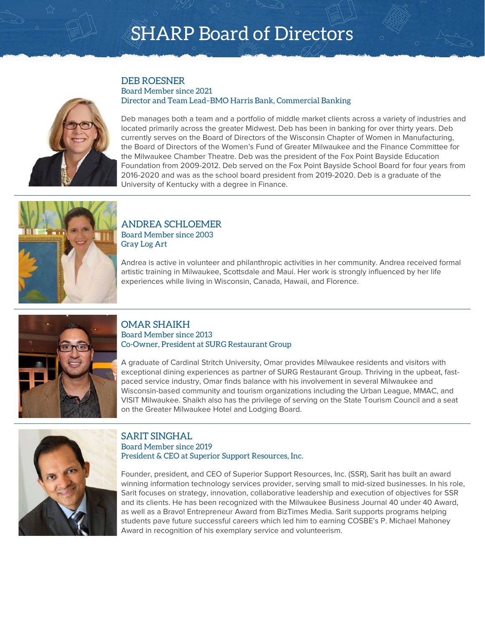

### DEB ROESNER Board Member since 2021 Director and Team Lead–BMO Harris Bank, Commercial Banking

Deb manages both a team and a portfolio of middle market clients across a variety of industries and located primarily across the greater Midwest. Deb has been in banking for over thirty years. Deb currently serves on the Board of Directors of the Wisconsin Chapter of Women in Manufacturing, the Board of Directors of the Women's Fund of Greater Milwaukee and the Finance Committee for the Milwaukee Chamber Theatre. Deb was the president of the Fox Point Bayside Education Foundation from 2009-2012. Deb served on the Fox Point Bayside School Board for four years from 2016-2020 and was as the school board president from 2019-2020. Deb is a graduate of the University of Kentucky with a degree in Finance.



### ANDREA SCHLOEMER Board Member since 2003 Gray Log Art

Andrea is active in volunteer and philanthropic activities in her community. Andrea received formal artistic training in Milwaukee, Scottsdale and Maui. Her work is strongly influenced by her life experiences while living in Wisconsin, Canada, Hawaii, and Florence.



### OMAR SHAIKH Board Member since 2013 Co-Owner, President at SURG Restaurant Group

A graduate of Cardinal Stritch University, Omar provides Milwaukee residents and visitors with exceptional dining experiences as partner of SURG Restaurant Group. Thriving in the upbeat, fastpaced service industry, Omar finds balance with his involvement in several Milwaukee and Wisconsin-based community and tourism organizations including the Urban League, MMAC, and VISIT Milwaukee. Shaikh also has the privilege of serving on the State Tourism Council and a seat on the Greater Milwaukee Hotel and Lodging Board.



### SARIT SINGHAL Board Member since 2019 President & CEO at Superior Support Resources, Inc.

Founder, president, and CEO of Superior Support Resources, Inc. (SSR), Sarit has built an award winning information technology services provider, serving small to mid-sized businesses. In his role, Sarit focuses on strategy, innovation, collaborative leadership and execution of objectives for SSR and its clients. He has been recognized with the Milwaukee Business Journal 40 under 40 Award, as well as a Bravo! Entrepreneur Award from BizTimes Media. Sarit supports programs helping students pave future successful careers which led him to earning COSBE's P. Michael Mahoney Award in recognition of his exemplary service and volunteerism.